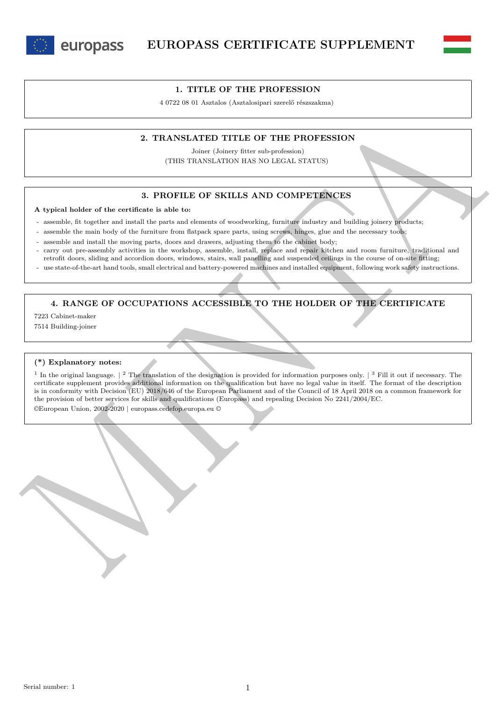

europass



4 0722 08 01 Asztalos (Asztalosipari szerelő részszakma)

### **2. TRANSLATED TITLE OF THE PROFESSION**

Joiner (Joinery fitter sub-profession) (THIS TRANSLATION HAS NO LEGAL STATUS)

## **3. PROFILE OF SKILLS AND COMPETENCES**

**A typical holder of the certificate is able to:**

- assemble, fit together and install the parts and elements of woodworking, furniture industry and building joinery products;

- assemble the main body of the furniture from flatpack spare parts, using screws, hinges, glue and the necessary tools;
- assemble and install the moving parts, doors and drawers, adjusting them to the cabinet body;
- carry out pre-assembly activities in the workshop, assemble, install, replace and repair kitchen and room furniture, traditional and retrofit doors, sliding and accordion doors, windows, stairs, wall panelling and suspended ceilings in the course of on-site fitting;
- use state-of-the-art hand tools, small electrical and battery-powered machines and installed equipment, following work safety instructions.

# **4. RANGE OF OCCUPATIONS ACCESSIBLE TO THE HOLDER OF THE CERTIFICATE**

7223 Cabinet-maker

7514 Building-joiner

#### **(\*) Explanatory notes:**

2. TRANSLATED TITLE OF THE PROFESSION<br>
Share charges from subsections and Literature of the Section 2011 and the section of the section 2013<br>
A system label of the certainty is a base of the section of the section in the <sup>1</sup> In the original language.  $\vert$  <sup>2</sup> The translation of the designation is provided for information purposes only.  $\vert$  <sup>3</sup> Fill it out if necessary. The certificate supplement provides additional information on the qualification but have no legal value in itself. The format of the description is in conformity with Decision (EU) 2018/646 of the European Parliament and of the Council of 18 April 2018 on a common framework for the provision of better services for skills and qualifications (Europass) and repealing Decision No 2241/2004/EC.

©European Union, 2002-2020 | europass.cedefop.europa.eu ©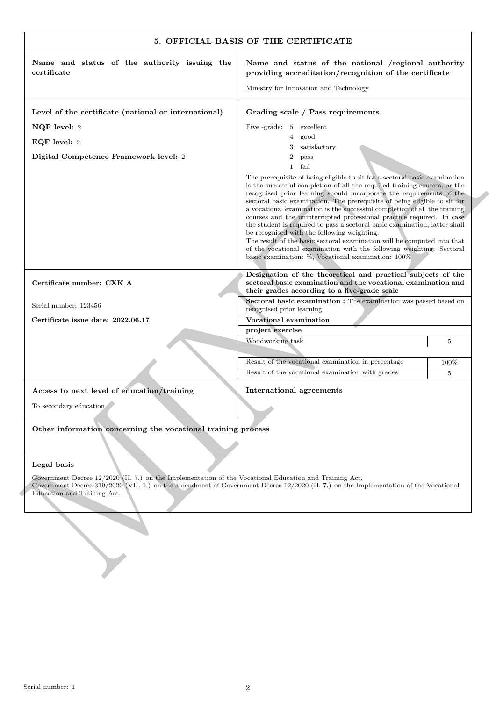|                                                                                                                                       | 5. OFFICIAL BASIS OF THE CERTIFICATE                                                                                                                                                                                                                                                                                                                                                                                                                                                                                                                                                                                                                                                                                                                                                                     |      |
|---------------------------------------------------------------------------------------------------------------------------------------|----------------------------------------------------------------------------------------------------------------------------------------------------------------------------------------------------------------------------------------------------------------------------------------------------------------------------------------------------------------------------------------------------------------------------------------------------------------------------------------------------------------------------------------------------------------------------------------------------------------------------------------------------------------------------------------------------------------------------------------------------------------------------------------------------------|------|
| Name and status of the authority issuing the<br>certificate                                                                           | Name and status of the national /regional authority<br>providing accreditation/recognition of the certificate                                                                                                                                                                                                                                                                                                                                                                                                                                                                                                                                                                                                                                                                                            |      |
|                                                                                                                                       | Ministry for Innovation and Technology                                                                                                                                                                                                                                                                                                                                                                                                                                                                                                                                                                                                                                                                                                                                                                   |      |
| Level of the certificate (national or international)                                                                                  | Grading scale / Pass requirements                                                                                                                                                                                                                                                                                                                                                                                                                                                                                                                                                                                                                                                                                                                                                                        |      |
| NQF level: 2                                                                                                                          | Five-grade: 5 excellent                                                                                                                                                                                                                                                                                                                                                                                                                                                                                                                                                                                                                                                                                                                                                                                  |      |
| EQF level: 2                                                                                                                          | good<br>$\overline{4}$<br>satisfactory<br>3                                                                                                                                                                                                                                                                                                                                                                                                                                                                                                                                                                                                                                                                                                                                                              |      |
| Digital Competence Framework level: 2                                                                                                 | 2<br>pass                                                                                                                                                                                                                                                                                                                                                                                                                                                                                                                                                                                                                                                                                                                                                                                                |      |
|                                                                                                                                       | fail<br>$\mathbf{1}$                                                                                                                                                                                                                                                                                                                                                                                                                                                                                                                                                                                                                                                                                                                                                                                     |      |
|                                                                                                                                       | The prerequisite of being eligible to sit for a sectoral basic examination<br>is the successful completion of all the required training courses, or the<br>recognised prior learning should incorporate the requirements of the<br>sectoral basic examination. The prerequisite of being eligible to sit for<br>a vocational examination is the successful completion of all the training<br>courses and the uninterrupted professional practice required. In case<br>the student is required to pass a sectoral basic examination, latter shall<br>be recognised with the following weighting:<br>The result of the basic sectoral examination will be computed into that<br>of the vocational examination with the following weighting: Sectoral<br>basic examination: %, Vocational examination: 100% |      |
| Certificate number: CXK A                                                                                                             | Designation of the theoretical and practical subjects of the<br>sectoral basic examination and the vocational examination and<br>their grades according to a five-grade scale                                                                                                                                                                                                                                                                                                                                                                                                                                                                                                                                                                                                                            |      |
| Serial number: 123456                                                                                                                 | Sectoral basic examination : The examination was passed based on<br>recognised prior learning                                                                                                                                                                                                                                                                                                                                                                                                                                                                                                                                                                                                                                                                                                            |      |
| Certificate issue date: 2022.06.17                                                                                                    | Vocational examination                                                                                                                                                                                                                                                                                                                                                                                                                                                                                                                                                                                                                                                                                                                                                                                   |      |
|                                                                                                                                       | project exercise<br>Woodworking task                                                                                                                                                                                                                                                                                                                                                                                                                                                                                                                                                                                                                                                                                                                                                                     | 5    |
|                                                                                                                                       |                                                                                                                                                                                                                                                                                                                                                                                                                                                                                                                                                                                                                                                                                                                                                                                                          |      |
|                                                                                                                                       | Result of the vocational examination in percentage                                                                                                                                                                                                                                                                                                                                                                                                                                                                                                                                                                                                                                                                                                                                                       | 100% |
|                                                                                                                                       | Result of the vocational examination with grades                                                                                                                                                                                                                                                                                                                                                                                                                                                                                                                                                                                                                                                                                                                                                         | 5    |
| Access to next level of education/training                                                                                            | International agreements                                                                                                                                                                                                                                                                                                                                                                                                                                                                                                                                                                                                                                                                                                                                                                                 |      |
| To secondary education $\mathbb{Z}^2$                                                                                                 |                                                                                                                                                                                                                                                                                                                                                                                                                                                                                                                                                                                                                                                                                                                                                                                                          |      |
|                                                                                                                                       |                                                                                                                                                                                                                                                                                                                                                                                                                                                                                                                                                                                                                                                                                                                                                                                                          |      |
| Other information concerning the vocational training process                                                                          |                                                                                                                                                                                                                                                                                                                                                                                                                                                                                                                                                                                                                                                                                                                                                                                                          |      |
| Legal basis                                                                                                                           |                                                                                                                                                                                                                                                                                                                                                                                                                                                                                                                                                                                                                                                                                                                                                                                                          |      |
| Government Decree 12/2020 (II. 7.) on the Implementation of the Vocational Education and Training Act,<br>Education and Training Act. | Government Decree 319/2020 (VII. 1.) on the amendment of Government Decree 12/2020 (II. 7.) on the Implementation of the Vocational                                                                                                                                                                                                                                                                                                                                                                                                                                                                                                                                                                                                                                                                      |      |
|                                                                                                                                       |                                                                                                                                                                                                                                                                                                                                                                                                                                                                                                                                                                                                                                                                                                                                                                                                          |      |
|                                                                                                                                       |                                                                                                                                                                                                                                                                                                                                                                                                                                                                                                                                                                                                                                                                                                                                                                                                          |      |
|                                                                                                                                       |                                                                                                                                                                                                                                                                                                                                                                                                                                                                                                                                                                                                                                                                                                                                                                                                          |      |